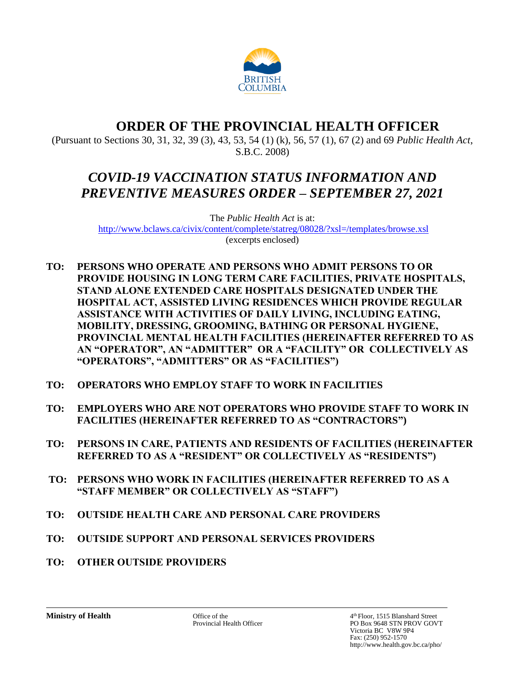

# **ORDER OF THE PROVINCIAL HEALTH OFFICER**

(Pursuant to Sections 30, 31, 32, 39 (3), 43, 53, 54 (1) (k), 56, 57 (1), 67 (2) and 69 *Public Health Act*, S.B.C. 2008)

# *COVID-19 VACCINATION STATUS INFORMATION AND PREVENTIVE MEASURES ORDER – SEPTEMBER 27, 2021*

The *Public Health Act* is at: <http://www.bclaws.ca/civix/content/complete/statreg/08028/?xsl=/templates/browse.xsl> (excerpts enclosed)

- **TO: PERSONS WHO OPERATE AND PERSONS WHO ADMIT PERSONS TO OR PROVIDE HOUSING IN LONG TERM CARE FACILITIES, PRIVATE HOSPITALS, STAND ALONE EXTENDED CARE HOSPITALS DESIGNATED UNDER THE HOSPITAL ACT, ASSISTED LIVING RESIDENCES WHICH PROVIDE REGULAR ASSISTANCE WITH ACTIVITIES OF DAILY LIVING, INCLUDING EATING, MOBILITY, DRESSING, GROOMING, BATHING OR PERSONAL HYGIENE, PROVINCIAL MENTAL HEALTH FACILITIES (HEREINAFTER REFERRED TO AS AN "OPERATOR", AN "ADMITTER" OR A "FACILITY" OR COLLECTIVELY AS "OPERATORS", "ADMITTERS" OR AS "FACILITIES")**
- **TO: OPERATORS WHO EMPLOY STAFF TO WORK IN FACILITIES**
- **TO: EMPLOYERS WHO ARE NOT OPERATORS WHO PROVIDE STAFF TO WORK IN FACILITIES (HEREINAFTER REFERRED TO AS "CONTRACTORS")**
- **TO: PERSONS IN CARE, PATIENTS AND RESIDENTS OF FACILITIES (HEREINAFTER REFERRED TO AS A "RESIDENT" OR COLLECTIVELY AS "RESIDENTS")**
- **TO: PERSONS WHO WORK IN FACILITIES (HEREINAFTER REFERRED TO AS A "STAFF MEMBER" OR COLLECTIVELY AS "STAFF")**
- **TO: OUTSIDE HEALTH CARE AND PERSONAL CARE PROVIDERS**
- **TO: OUTSIDE SUPPORT AND PERSONAL SERVICES PROVIDERS**
- **TO: OTHER OUTSIDE PROVIDERS**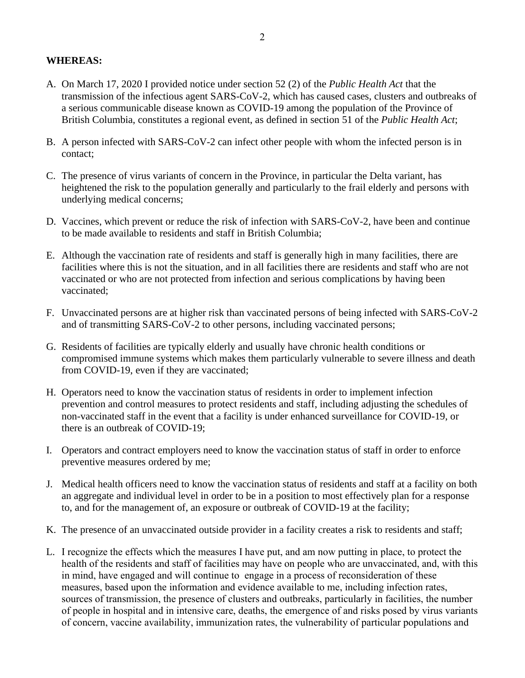#### **WHEREAS:**

- A. On March 17, 2020 I provided notice under section 52 (2) of the *Public Health Act* that the transmission of the infectious agent SARS-CoV-2, which has caused cases, clusters and outbreaks of a serious communicable disease known as COVID-19 among the population of the Province of British Columbia, constitutes a regional event, as defined in section 51 of the *Public Health Act*;
- B. A person infected with SARS-CoV-2 can infect other people with whom the infected person is in contact;
- C. The presence of virus variants of concern in the Province, in particular the Delta variant, has heightened the risk to the population generally and particularly to the frail elderly and persons with underlying medical concerns;
- D. Vaccines, which prevent or reduce the risk of infection with SARS-CoV-2, have been and continue to be made available to residents and staff in British Columbia;
- E. Although the vaccination rate of residents and staff is generally high in many facilities, there are facilities where this is not the situation, and in all facilities there are residents and staff who are not vaccinated or who are not protected from infection and serious complications by having been vaccinated;
- F. Unvaccinated persons are at higher risk than vaccinated persons of being infected with SARS-CoV-2 and of transmitting SARS-CoV-2 to other persons, including vaccinated persons;
- G. Residents of facilities are typically elderly and usually have chronic health conditions or compromised immune systems which makes them particularly vulnerable to severe illness and death from COVID-19, even if they are vaccinated;
- H. Operators need to know the vaccination status of residents in order to implement infection prevention and control measures to protect residents and staff, including adjusting the schedules of non-vaccinated staff in the event that a facility is under enhanced surveillance for COVID-19, or there is an outbreak of COVID-19;
- I. Operators and contract employers need to know the vaccination status of staff in order to enforce preventive measures ordered by me;
- J. Medical health officers need to know the vaccination status of residents and staff at a facility on both an aggregate and individual level in order to be in a position to most effectively plan for a response to, and for the management of, an exposure or outbreak of COVID-19 at the facility;
- K. The presence of an unvaccinated outside provider in a facility creates a risk to residents and staff;
- L. I recognize the effects which the measures I have put, and am now putting in place, to protect the health of the residents and staff of facilities may have on people who are unvaccinated, and, with this in mind, have engaged and will continue to engage in a process of reconsideration of these measures, based upon the information and evidence available to me, including infection rates, sources of transmission, the presence of clusters and outbreaks, particularly in facilities, the number of people in hospital and in intensive care, deaths, the emergence of and risks posed by virus variants of concern, vaccine availability, immunization rates, the vulnerability of particular populations and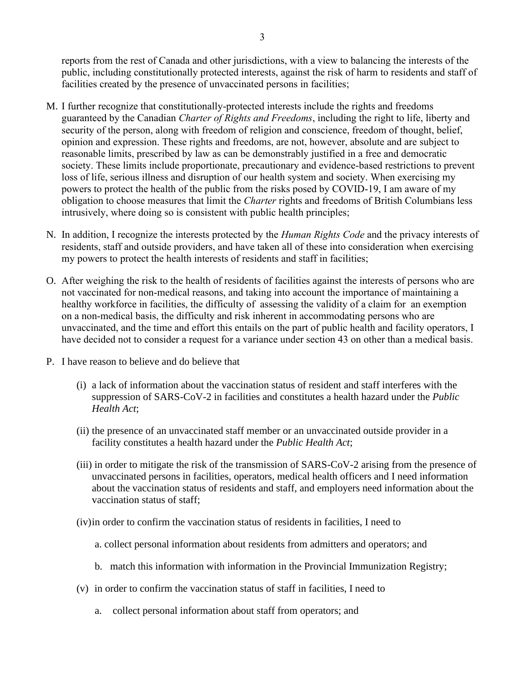reports from the rest of Canada and other jurisdictions, with a view to balancing the interests of the public, including constitutionally protected interests, against the risk of harm to residents and staff of facilities created by the presence of unvaccinated persons in facilities;

- M. I further recognize that constitutionally-protected interests include the rights and freedoms guaranteed by the Canadian *Charter of Rights and Freedoms*, including the right to life, liberty and security of the person, along with freedom of religion and conscience, freedom of thought, belief, opinion and expression. These rights and freedoms, are not, however, absolute and are subject to reasonable limits, prescribed by law as can be demonstrably justified in a free and democratic society. These limits include proportionate, precautionary and evidence-based restrictions to prevent loss of life, serious illness and disruption of our health system and society. When exercising my powers to protect the health of the public from the risks posed by COVID-19, I am aware of my obligation to choose measures that limit the *Charter* rights and freedoms of British Columbians less intrusively, where doing so is consistent with public health principles;
- N. In addition, I recognize the interests protected by the *Human Rights Code* and the privacy interests of residents, staff and outside providers, and have taken all of these into consideration when exercising my powers to protect the health interests of residents and staff in facilities;
- O. After weighing the risk to the health of residents of facilities against the interests of persons who are not vaccinated for non-medical reasons, and taking into account the importance of maintaining a healthy workforce in facilities, the difficulty of assessing the validity of a claim for an exemption on a non-medical basis, the difficulty and risk inherent in accommodating persons who are unvaccinated, and the time and effort this entails on the part of public health and facility operators, I have decided not to consider a request for a variance under section 43 on other than a medical basis.
- P. I have reason to believe and do believe that
	- (i) a lack of information about the vaccination status of resident and staff interferes with the suppression of SARS-CoV-2 in facilities and constitutes a health hazard under the *Public Health Act*;
	- (ii) the presence of an unvaccinated staff member or an unvaccinated outside provider in a facility constitutes a health hazard under the *Public Health Act*;
	- (iii) in order to mitigate the risk of the transmission of SARS-CoV-2 arising from the presence of unvaccinated persons in facilities, operators, medical health officers and I need information about the vaccination status of residents and staff, and employers need information about the vaccination status of staff;
	- (iv)in order to confirm the vaccination status of residents in facilities, I need to
		- a. collect personal information about residents from admitters and operators; and
		- b. match this information with information in the Provincial Immunization Registry;
	- (v) in order to confirm the vaccination status of staff in facilities, I need to
		- a. collect personal information about staff from operators; and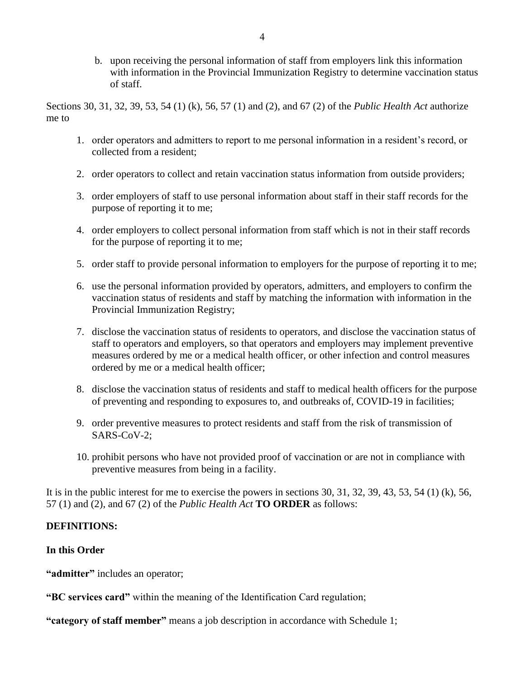b. upon receiving the personal information of staff from employers link this information with information in the Provincial Immunization Registry to determine vaccination status of staff.

Sections 30, 31, 32, 39, 53, 54 (1) (k), 56, 57 (1) and (2), and 67 (2) of the *Public Health Act* authorize me to

- 1. order operators and admitters to report to me personal information in a resident's record, or collected from a resident;
- 2. order operators to collect and retain vaccination status information from outside providers;
- 3. order employers of staff to use personal information about staff in their staff records for the purpose of reporting it to me;
- 4. order employers to collect personal information from staff which is not in their staff records for the purpose of reporting it to me;
- 5. order staff to provide personal information to employers for the purpose of reporting it to me;
- 6. use the personal information provided by operators, admitters, and employers to confirm the vaccination status of residents and staff by matching the information with information in the Provincial Immunization Registry;
- 7. disclose the vaccination status of residents to operators, and disclose the vaccination status of staff to operators and employers, so that operators and employers may implement preventive measures ordered by me or a medical health officer, or other infection and control measures ordered by me or a medical health officer;
- 8. disclose the vaccination status of residents and staff to medical health officers for the purpose of preventing and responding to exposures to, and outbreaks of, COVID-19 in facilities;
- 9. order preventive measures to protect residents and staff from the risk of transmission of SARS-CoV-2;
- 10. prohibit persons who have not provided proof of vaccination or are not in compliance with preventive measures from being in a facility.

It is in the public interest for me to exercise the powers in sections 30, 31, 32, 39, 43, 53, 54 (1) (k), 56, 57 (1) and (2), and 67 (2) of the *Public Health Act* **TO ORDER** as follows:

## **DEFINITIONS:**

## **In this Order**

"**admitter**" includes an operator;

**"BC services card"** within the meaning of the Identification Card regulation;

**"category of staff member"** means a job description in accordance with Schedule 1;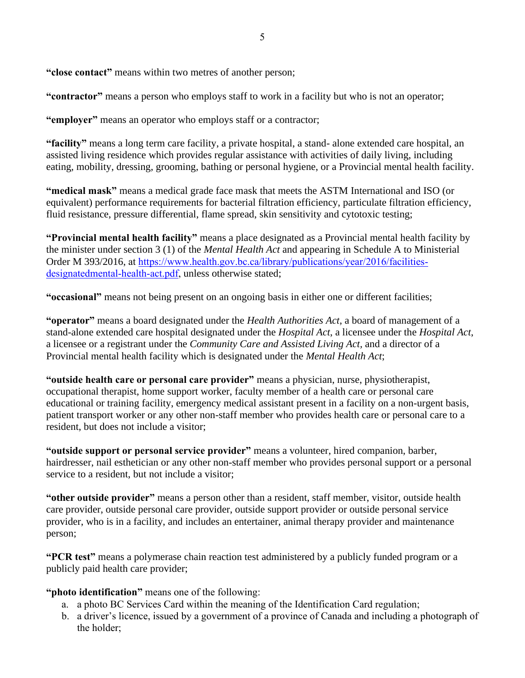**"close contact"** means within two metres of another person;

**"contractor"** means a person who employs staff to work in a facility but who is not an operator;

**"employer"** means an operator who employs staff or a contractor;

**"facility"** means a long term care facility, a private hospital, a stand- alone extended care hospital, an assisted living residence which provides regular assistance with activities of daily living, including eating, mobility, dressing, grooming, bathing or personal hygiene, or a Provincial mental health facility.

**"medical mask"** means a medical grade face mask that meets the ASTM International and ISO (or equivalent) performance requirements for bacterial filtration efficiency, particulate filtration efficiency, fluid resistance, pressure differential, flame spread, skin sensitivity and cytotoxic testing;

**"Provincial mental health facility"** means a place designated as a Provincial mental health facility by the minister under section 3 (1) of the *Mental Health Act* and appearing in Schedule A to Ministerial Order M 393/2016, at [https://www.health.gov.bc.ca/library/publications/year/2016/facilities](https://www.health.gov.bc.ca/library/publications/year/2016/facilities-designatedmental-health-act.pdf)[designatedmental-health-act.pdf,](https://www.health.gov.bc.ca/library/publications/year/2016/facilities-designatedmental-health-act.pdf) unless otherwise stated;

**"occasional"** means not being present on an ongoing basis in either one or different facilities;

**"operator"** means a board designated under the *Health Authorities Act*, a board of management of a stand-alone extended care hospital designated under the *Hospital Act*, a licensee under the *Hospital Act*, a licensee or a registrant under the *Community Care and Assisted Living Act,* and a director of a Provincial mental health facility which is designated under the *Mental Health Act*;

**"outside health care or personal care provider"** means a physician, nurse, physiotherapist, occupational therapist, home support worker, faculty member of a health care or personal care educational or training facility, emergency medical assistant present in a facility on a non-urgent basis, patient transport worker or any other non-staff member who provides health care or personal care to a resident, but does not include a visitor;

**"outside support or personal service provider"** means a volunteer, hired companion, barber, hairdresser, nail esthetician or any other non-staff member who provides personal support or a personal service to a resident, but not include a visitor;

**"other outside provider"** means a person other than a resident, staff member, visitor, outside health care provider, outside personal care provider, outside support provider or outside personal service provider, who is in a facility, and includes an entertainer, animal therapy provider and maintenance person;

**"PCR test"** means a polymerase chain reaction test administered by a publicly funded program or a publicly paid health care provider;

**"photo identification"** means one of the following:

- a. a photo BC Services Card within the meaning of the Identification Card regulation;
- b. a driver's licence, issued by a government of a province of Canada and including a photograph of the holder;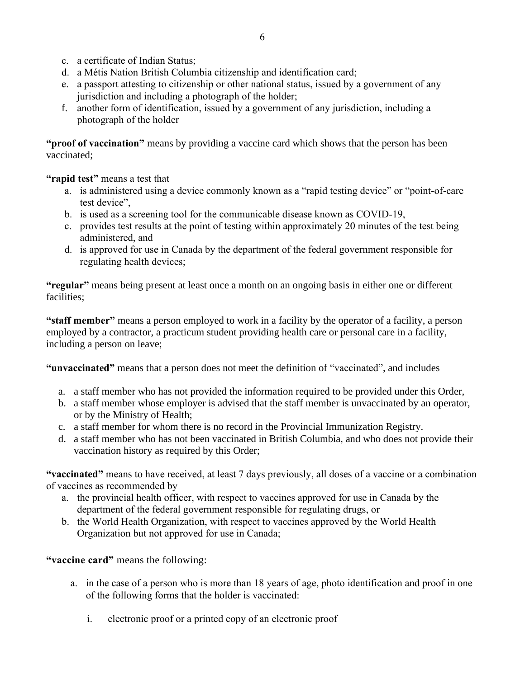- c. a certificate of Indian Status;
- d. a Métis Nation British Columbia citizenship and identification card;
- e. a passport attesting to citizenship or other national status, issued by a government of any jurisdiction and including a photograph of the holder;
- f. another form of identification, issued by a government of any jurisdiction, including a photograph of the holder

**"proof of vaccination"** means by providing a vaccine card which shows that the person has been vaccinated;

**"rapid test"** means a test that

- a. is administered using a device commonly known as a "rapid testing device" or "point-of-care test device",
- b. is used as a screening tool for the communicable disease known as COVID-19,
- c. provides test results at the point of testing within approximately 20 minutes of the test being administered, and
- d. is approved for use in Canada by the department of the federal government responsible for regulating health devices;

**"regular"** means being present at least once a month on an ongoing basis in either one or different facilities;

**"staff member"** means a person employed to work in a facility by the operator of a facility, a person employed by a contractor, a practicum student providing health care or personal care in a facility, including a person on leave;

**"unvaccinated"** means that a person does not meet the definition of "vaccinated", and includes

- a. a staff member who has not provided the information required to be provided under this Order,
- b. a staff member whose employer is advised that the staff member is unvaccinated by an operator, or by the Ministry of Health;
- c. a staff member for whom there is no record in the Provincial Immunization Registry.
- d. a staff member who has not been vaccinated in British Columbia, and who does not provide their vaccination history as required by this Order;

**"vaccinated"** means to have received, at least 7 days previously, all doses of a vaccine or a combination of vaccines as recommended by

- a. the provincial health officer, with respect to vaccines approved for use in Canada by the department of the federal government responsible for regulating drugs, or
- b. the World Health Organization, with respect to vaccines approved by the World Health Organization but not approved for use in Canada;

**"vaccine card"** means the following:

- a. in the case of a person who is more than 18 years of age, photo identification and proof in one of the following forms that the holder is vaccinated:
	- i. electronic proof or a printed copy of an electronic proof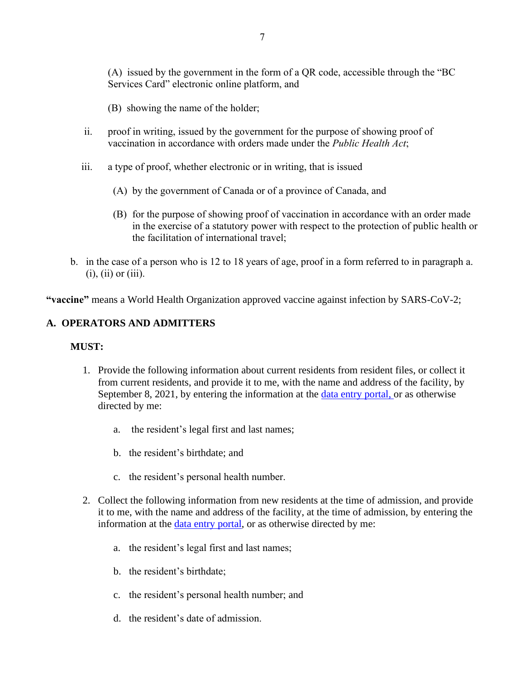(A) issued by the government in the form of a QR code, accessible through the "BC Services Card" electronic online platform, and

(B) showing the name of the holder;

- ii. proof in writing, issued by the government for the purpose of showing proof of vaccination in accordance with orders made under the *Public Health Act*;
- iii. a type of proof, whether electronic or in writing, that is issued
	- (A) by the government of Canada or of a province of Canada, and
	- (B) for the purpose of showing proof of vaccination in accordance with an order made in the exercise of a statutory power with respect to the protection of public health or the facilitation of international travel;
- b. in the case of a person who is 12 to 18 years of age, proof in a form referred to in paragraph a.  $(i)$ ,  $(ii)$  or  $(iii)$ .

**"vaccine"** means a World Health Organization approved vaccine against infection by SARS-CoV-2;

## **A. OPERATORS AND ADMITTERS**

#### **MUST:**

- 1. Provide the following information about current residents from resident files, or collect it from current residents, and provide it to me, with the name and address of the facility, by September 8, 2021, by entering the information at the *data entry portal*, or as otherwise directed by me:
	- a. the resident's legal first and last names;
	- b. the resident's birthdate; and
	- c. the resident's personal health number.
- 2. Collect the following information from new residents at the time of admission, and provide it to me, with the name and address of the facility, at the time of admission, by entering the information at the [data entry portal,](https://ltcemployers.gov.bc.ca/) or as otherwise directed by me:
	- a. the resident's legal first and last names;
	- b. the resident's birthdate;
	- c. the resident's personal health number; and
	- d. the resident's date of admission.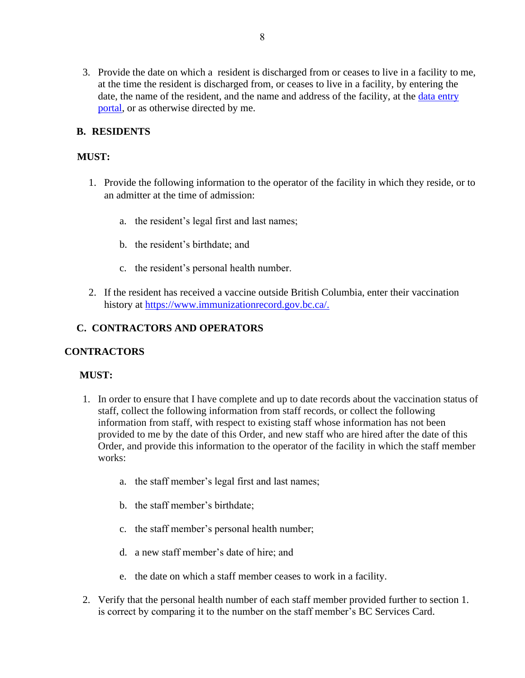3. Provide the date on which a resident is discharged from or ceases to live in a facility to me, at the time the resident is discharged from, or ceases to live in a facility, by entering the date, the name of the resident, and the name and address of the facility, at the [data entry](https://ltcemployers.gov.bc.ca/)  [portal,](https://ltcemployers.gov.bc.ca/) or as otherwise directed by me.

## **B. RESIDENTS**

## **MUST:**

- 1. Provide the following information to the operator of the facility in which they reside, or to an admitter at the time of admission:
	- a. the resident's legal first and last names;
	- b. the resident's birthdate; and
	- c. the resident's personal health number.
- 2. If the resident has received a vaccine outside British Columbia, enter their vaccination history at [https://www.immunizationrecord.gov.bc.ca/.](https://www.immunizationrecord.gov.bc.ca/)

## **C. CONTRACTORS AND OPERATORS**

## **CONTRACTORS**

## **MUST:**

- 1. In order to ensure that I have complete and up to date records about the vaccination status of staff, collect the following information from staff records, or collect the following information from staff, with respect to existing staff whose information has not been provided to me by the date of this Order, and new staff who are hired after the date of this Order, and provide this information to the operator of the facility in which the staff member works:
	- a. the staff member's legal first and last names;
	- b. the staff member's birthdate;
	- c. the staff member's personal health number;
	- d. a new staff member's date of hire; and
	- e. the date on which a staff member ceases to work in a facility.
- 2. Verify that the personal health number of each staff member provided further to section 1. is correct by comparing it to the number on the staff member's BC Services Card.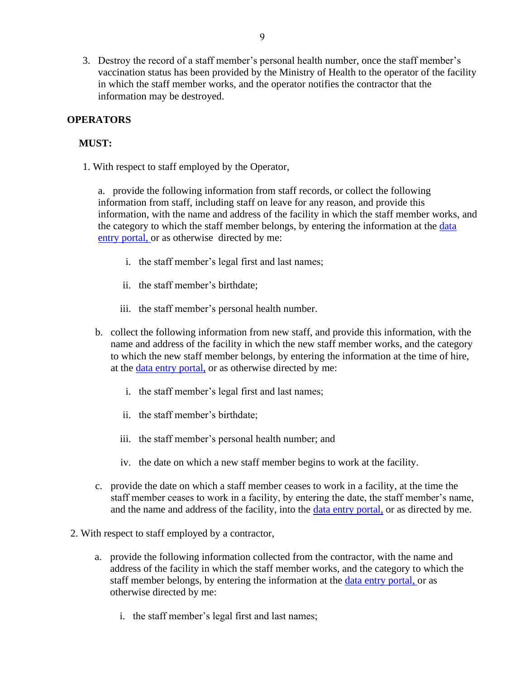3. Destroy the record of a staff member's personal health number, once the staff member's vaccination status has been provided by the Ministry of Health to the operator of the facility in which the staff member works, and the operator notifies the contractor that the information may be destroyed.

## **OPERATORS**

## **MUST:**

1. With respect to staff employed by the Operator,

a. provide the following information from staff records, or collect the following information from staff, including staff on leave for any reason, and provide this information, with the name and address of the facility in which the staff member works, and the category to which the staff member belongs, by entering the information at the data [entry portal,](https://ltcemployers.gov.bc.ca/) or as otherwise directed by me:

- i. the staff member's legal first and last names;
- ii. the staff member's birthdate;
- iii. the staff member's personal health number.
- b. collect the following information from new staff, and provide this information, with the name and address of the facility in which the new staff member works, and the category to which the new staff member belongs, by entering the information at the time of hire, at the [data entry portal,](https://ltcemployers.gov.bc.ca/) or as otherwise directed by me:
	- i. the staff member's legal first and last names;
	- ii. the staff member's birthdate;
	- iii. the staff member's personal health number; and
	- iv. the date on which a new staff member begins to work at the facility.
- c. provide the date on which a staff member ceases to work in a facility, at the time the staff member ceases to work in a facility, by entering the date, the staff member's name, and the name and address of the facility, into the [data entry portal,](https://ltcemployers.gov.bc.ca/) or as directed by me.
- 2. With respect to staff employed by a contractor,
	- a. provide the following information collected from the contractor, with the name and address of the facility in which the staff member works, and the category to which the staff member belongs, by entering the information at the [data entry portal,](https://ltcemployers.gov.bc.ca/) or as otherwise directed by me:
		- i. the staff member's legal first and last names;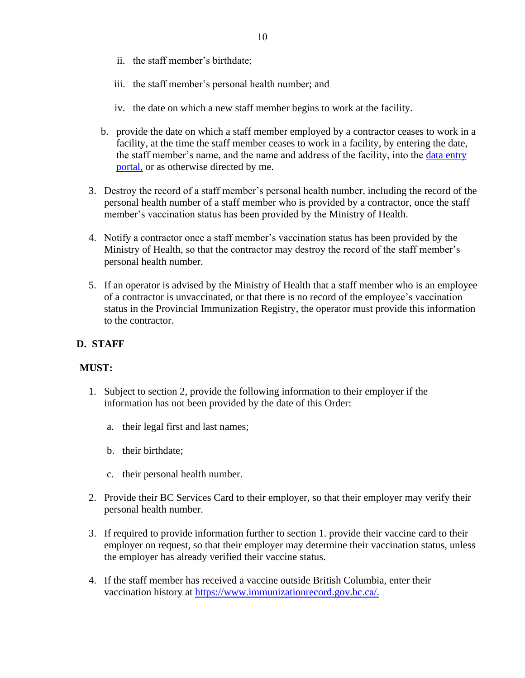- ii. the staff member's birthdate;
- iii. the staff member's personal health number; and
- iv. the date on which a new staff member begins to work at the facility.
- b. provide the date on which a staff member employed by a contractor ceases to work in a facility, at the time the staff member ceases to work in a facility, by entering the date, the staff member's name, and the name and address of the facility, into the data entry [portal,](https://ltcemployers.gov.bc.ca/) or as otherwise directed by me.
- 3. Destroy the record of a staff member's personal health number, including the record of the personal health number of a staff member who is provided by a contractor, once the staff member's vaccination status has been provided by the Ministry of Health.
- 4. Notify a contractor once a staff member's vaccination status has been provided by the Ministry of Health, so that the contractor may destroy the record of the staff member's personal health number.
- 5. If an operator is advised by the Ministry of Health that a staff member who is an employee of a contractor is unvaccinated, or that there is no record of the employee's vaccination status in the Provincial Immunization Registry, the operator must provide this information to the contractor.

#### **D. STAFF**

#### **MUST:**

- 1. Subject to section 2, provide the following information to their employer if the information has not been provided by the date of this Order:
	- a. their legal first and last names;
	- b. their birthdate;
	- c. their personal health number.
- 2. Provide their BC Services Card to their employer, so that their employer may verify their personal health number.
- 3. If required to provide information further to section 1. provide their vaccine card to their employer on request, so that their employer may determine their vaccination status, unless the employer has already verified their vaccine status.
- 4. If the staff member has received a vaccine outside British Columbia, enter their vaccination history at [https://www.immunizationrecord.gov.bc.ca/.](https://www.immunizationrecord.gov.bc.ca/)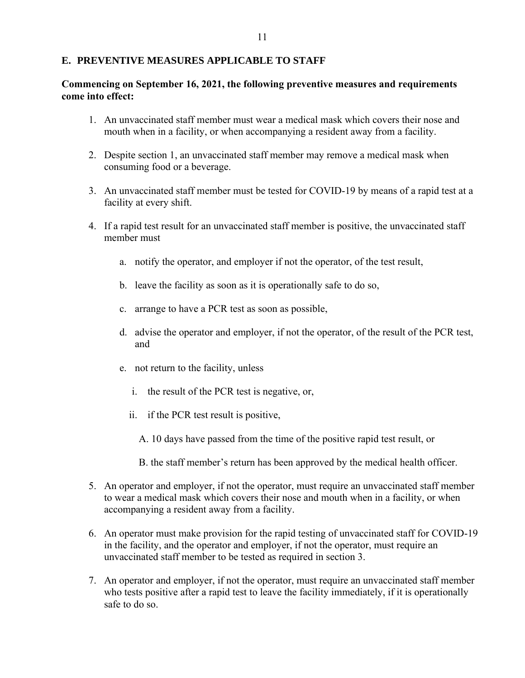#### **E. PREVENTIVE MEASURES APPLICABLE TO STAFF**

#### **Commencing on September 16, 2021, the following preventive measures and requirements come into effect:**

- 1. An unvaccinated staff member must wear a medical mask which covers their nose and mouth when in a facility, or when accompanying a resident away from a facility.
- 2. Despite section 1, an unvaccinated staff member may remove a medical mask when consuming food or a beverage.
- 3. An unvaccinated staff member must be tested for COVID-19 by means of a rapid test at a facility at every shift.
- 4. If a rapid test result for an unvaccinated staff member is positive, the unvaccinated staff member must
	- a. notify the operator, and employer if not the operator, of the test result,
	- b. leave the facility as soon as it is operationally safe to do so,
	- c. arrange to have a PCR test as soon as possible,
	- d. advise the operator and employer, if not the operator, of the result of the PCR test, and
	- e. not return to the facility, unless
		- i. the result of the PCR test is negative, or,
		- ii. if the PCR test result is positive,
			- A. 10 days have passed from the time of the positive rapid test result, or
			- B. the staff member's return has been approved by the medical health officer.
- 5. An operator and employer, if not the operator, must require an unvaccinated staff member to wear a medical mask which covers their nose and mouth when in a facility, or when accompanying a resident away from a facility.
- 6. An operator must make provision for the rapid testing of unvaccinated staff for COVID-19 in the facility, and the operator and employer, if not the operator, must require an unvaccinated staff member to be tested as required in section 3.
- 7. An operator and employer, if not the operator, must require an unvaccinated staff member who tests positive after a rapid test to leave the facility immediately, if it is operationally safe to do so.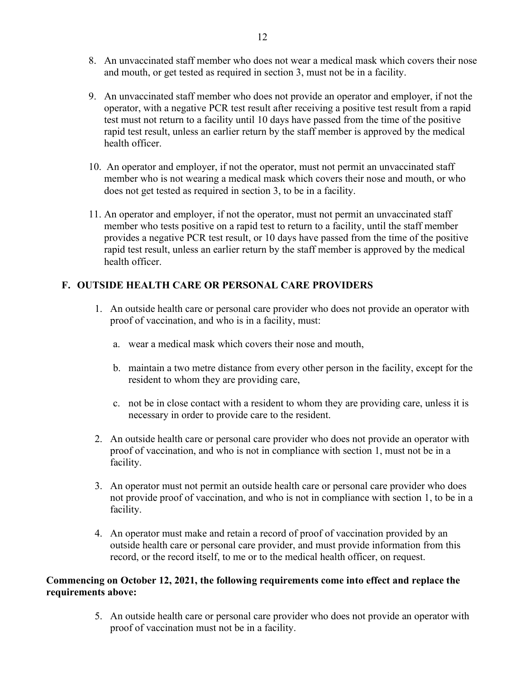- 8. An unvaccinated staff member who does not wear a medical mask which covers their nose and mouth, or get tested as required in section 3, must not be in a facility.
- 9. An unvaccinated staff member who does not provide an operator and employer, if not the operator, with a negative PCR test result after receiving a positive test result from a rapid test must not return to a facility until 10 days have passed from the time of the positive rapid test result, unless an earlier return by the staff member is approved by the medical health officer.
- 10. An operator and employer, if not the operator, must not permit an unvaccinated staff member who is not wearing a medical mask which covers their nose and mouth, or who does not get tested as required in section 3, to be in a facility.
- 11. An operator and employer, if not the operator, must not permit an unvaccinated staff member who tests positive on a rapid test to return to a facility, until the staff member provides a negative PCR test result, or 10 days have passed from the time of the positive rapid test result, unless an earlier return by the staff member is approved by the medical health officer.

## **F. OUTSIDE HEALTH CARE OR PERSONAL CARE PROVIDERS**

- 1. An outside health care or personal care provider who does not provide an operator with proof of vaccination, and who is in a facility, must:
	- a. wear a medical mask which covers their nose and mouth,
	- b. maintain a two metre distance from every other person in the facility, except for the resident to whom they are providing care,
	- c. not be in close contact with a resident to whom they are providing care, unless it is necessary in order to provide care to the resident.
- 2. An outside health care or personal care provider who does not provide an operator with proof of vaccination, and who is not in compliance with section 1, must not be in a facility.
- 3. An operator must not permit an outside health care or personal care provider who does not provide proof of vaccination, and who is not in compliance with section 1, to be in a facility.
- 4. An operator must make and retain a record of proof of vaccination provided by an outside health care or personal care provider, and must provide information from this record, or the record itself, to me or to the medical health officer, on request.

## **Commencing on October 12, 2021, the following requirements come into effect and replace the requirements above:**

5. An outside health care or personal care provider who does not provide an operator with proof of vaccination must not be in a facility.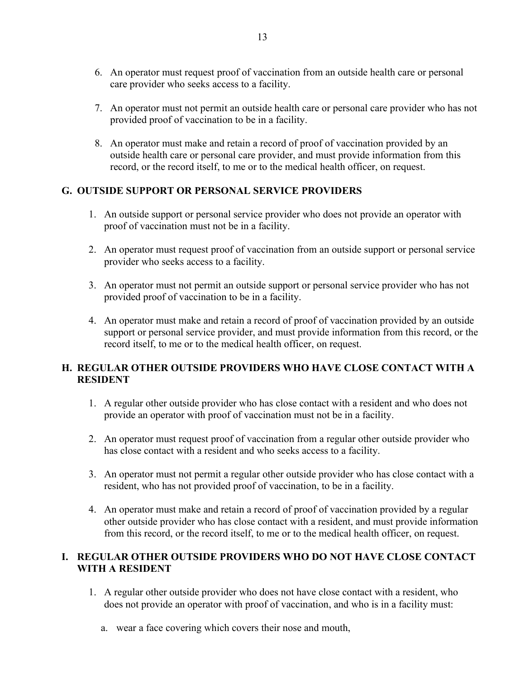- 6. An operator must request proof of vaccination from an outside health care or personal care provider who seeks access to a facility.
- 7. An operator must not permit an outside health care or personal care provider who has not provided proof of vaccination to be in a facility.
- 8. An operator must make and retain a record of proof of vaccination provided by an outside health care or personal care provider, and must provide information from this record, or the record itself, to me or to the medical health officer, on request.

## **G. OUTSIDE SUPPORT OR PERSONAL SERVICE PROVIDERS**

- 1. An outside support or personal service provider who does not provide an operator with proof of vaccination must not be in a facility.
- 2. An operator must request proof of vaccination from an outside support or personal service provider who seeks access to a facility.
- 3. An operator must not permit an outside support or personal service provider who has not provided proof of vaccination to be in a facility.
- 4. An operator must make and retain a record of proof of vaccination provided by an outside support or personal service provider, and must provide information from this record, or the record itself, to me or to the medical health officer, on request.

## **H. REGULAR OTHER OUTSIDE PROVIDERS WHO HAVE CLOSE CONTACT WITH A RESIDENT**

- 1. A regular other outside provider who has close contact with a resident and who does not provide an operator with proof of vaccination must not be in a facility.
- 2. An operator must request proof of vaccination from a regular other outside provider who has close contact with a resident and who seeks access to a facility.
- 3. An operator must not permit a regular other outside provider who has close contact with a resident, who has not provided proof of vaccination, to be in a facility.
- 4. An operator must make and retain a record of proof of vaccination provided by a regular other outside provider who has close contact with a resident, and must provide information from this record, or the record itself, to me or to the medical health officer, on request.

#### **I. REGULAR OTHER OUTSIDE PROVIDERS WHO DO NOT HAVE CLOSE CONTACT WITH A RESIDENT**

- 1. A regular other outside provider who does not have close contact with a resident, who does not provide an operator with proof of vaccination, and who is in a facility must:
	- a. wear a face covering which covers their nose and mouth,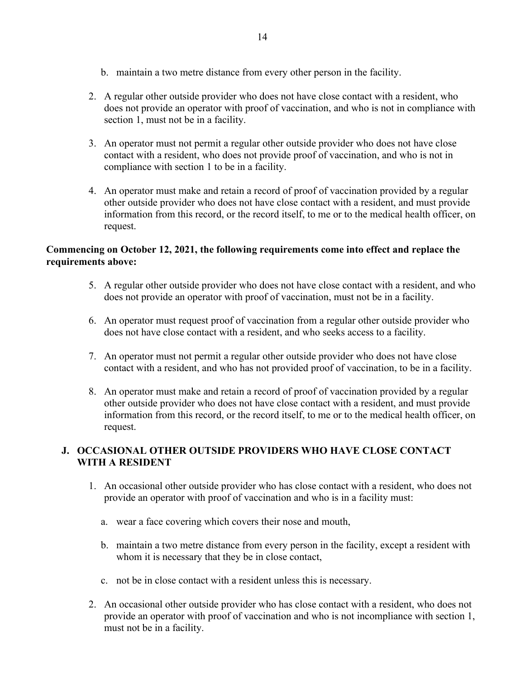- b. maintain a two metre distance from every other person in the facility.
- 2. A regular other outside provider who does not have close contact with a resident, who does not provide an operator with proof of vaccination, and who is not in compliance with section 1, must not be in a facility.
- 3. An operator must not permit a regular other outside provider who does not have close contact with a resident, who does not provide proof of vaccination, and who is not in compliance with section 1 to be in a facility.
- 4. An operator must make and retain a record of proof of vaccination provided by a regular other outside provider who does not have close contact with a resident, and must provide information from this record, or the record itself, to me or to the medical health officer, on request.

#### **Commencing on October 12, 2021, the following requirements come into effect and replace the requirements above:**

- 5. A regular other outside provider who does not have close contact with a resident, and who does not provide an operator with proof of vaccination, must not be in a facility.
- 6. An operator must request proof of vaccination from a regular other outside provider who does not have close contact with a resident, and who seeks access to a facility.
- 7. An operator must not permit a regular other outside provider who does not have close contact with a resident, and who has not provided proof of vaccination, to be in a facility.
- 8. An operator must make and retain a record of proof of vaccination provided by a regular other outside provider who does not have close contact with a resident, and must provide information from this record, or the record itself, to me or to the medical health officer, on request.

## **J. OCCASIONAL OTHER OUTSIDE PROVIDERS WHO HAVE CLOSE CONTACT WITH A RESIDENT**

- 1. An occasional other outside provider who has close contact with a resident, who does not provide an operator with proof of vaccination and who is in a facility must:
	- a. wear a face covering which covers their nose and mouth,
	- b. maintain a two metre distance from every person in the facility, except a resident with whom it is necessary that they be in close contact,
	- c. not be in close contact with a resident unless this is necessary.
- 2. An occasional other outside provider who has close contact with a resident, who does not provide an operator with proof of vaccination and who is not incompliance with section 1, must not be in a facility.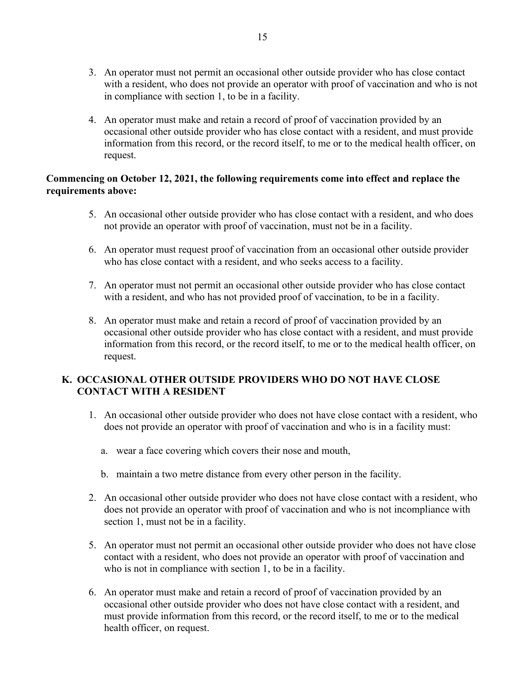- 3. An operator must not permit an occasional other outside provider who has close contact with a resident, who does not provide an operator with proof of vaccination and who is not in compliance with section 1, to be in a facility.
- 4. An operator must make and retain a record of proof of vaccination provided by an occasional other outside provider who has close contact with a resident, and must provide information from this record, or the record itself, to me or to the medical health officer, on request.

#### **Commencing on October 12, 2021, the following requirements come into effect and replace the requirements above:**

- 5. An occasional other outside provider who has close contact with a resident, and who does not provide an operator with proof of vaccination, must not be in a facility.
- 6. An operator must request proof of vaccination from an occasional other outside provider who has close contact with a resident, and who seeks access to a facility.
- 7. An operator must not permit an occasional other outside provider who has close contact with a resident, and who has not provided proof of vaccination, to be in a facility.
- 8. An operator must make and retain a record of proof of vaccination provided by an occasional other outside provider who has close contact with a resident, and must provide information from this record, or the record itself, to me or to the medical health officer, on request.

## **K. OCCASIONAL OTHER OUTSIDE PROVIDERS WHO DO NOT HAVE CLOSE CONTACT WITH A RESIDENT**

- 1. An occasional other outside provider who does not have close contact with a resident, who does not provide an operator with proof of vaccination and who is in a facility must:
	- a. wear a face covering which covers their nose and mouth,
	- b. maintain a two metre distance from every other person in the facility.
- 2. An occasional other outside provider who does not have close contact with a resident, who does not provide an operator with proof of vaccination and who is not incompliance with section 1, must not be in a facility.
- 5. An operator must not permit an occasional other outside provider who does not have close contact with a resident, who does not provide an operator with proof of vaccination and who is not in compliance with section 1, to be in a facility.
- 6. An operator must make and retain a record of proof of vaccination provided by an occasional other outside provider who does not have close contact with a resident, and must provide information from this record, or the record itself, to me or to the medical health officer, on request.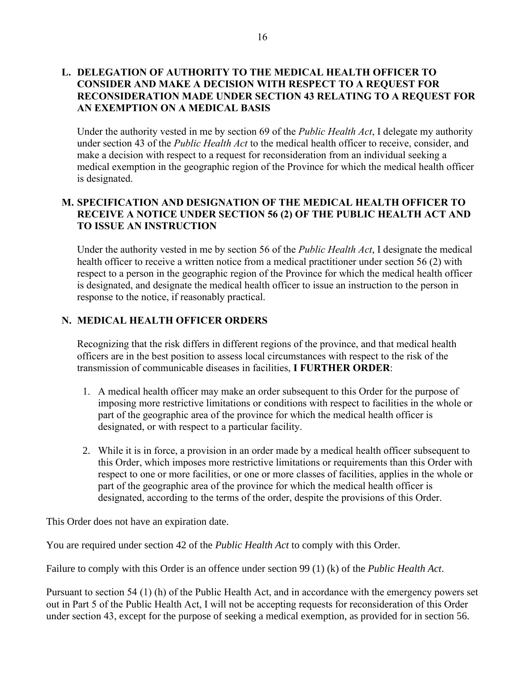#### **L. DELEGATION OF AUTHORITY TO THE MEDICAL HEALTH OFFICER TO CONSIDER AND MAKE A DECISION WITH RESPECT TO A REQUEST FOR RECONSIDERATION MADE UNDER SECTION 43 RELATING TO A REQUEST FOR AN EXEMPTION ON A MEDICAL BASIS**

Under the authority vested in me by section 69 of the *Public Health Act*, I delegate my authority under section 43 of the *Public Health Act* to the medical health officer to receive, consider, and make a decision with respect to a request for reconsideration from an individual seeking a medical exemption in the geographic region of the Province for which the medical health officer is designated.

## **M. SPECIFICATION AND DESIGNATION OF THE MEDICAL HEALTH OFFICER TO RECEIVE A NOTICE UNDER SECTION 56 (2) OF THE PUBLIC HEALTH ACT AND TO ISSUE AN INSTRUCTION**

Under the authority vested in me by section 56 of the *Public Health Act*, I designate the medical health officer to receive a written notice from a medical practitioner under section 56 (2) with respect to a person in the geographic region of the Province for which the medical health officer is designated, and designate the medical health officer to issue an instruction to the person in response to the notice, if reasonably practical.

## **N. MEDICAL HEALTH OFFICER ORDERS**

Recognizing that the risk differs in different regions of the province, and that medical health officers are in the best position to assess local circumstances with respect to the risk of the transmission of communicable diseases in facilities, **I FURTHER ORDER**:

- 1. A medical health officer may make an order subsequent to this Order for the purpose of imposing more restrictive limitations or conditions with respect to facilities in the whole or part of the geographic area of the province for which the medical health officer is designated, or with respect to a particular facility.
- 2. While it is in force, a provision in an order made by a medical health officer subsequent to this Order, which imposes more restrictive limitations or requirements than this Order with respect to one or more facilities, or one or more classes of facilities, applies in the whole or part of the geographic area of the province for which the medical health officer is designated, according to the terms of the order, despite the provisions of this Order.

This Order does not have an expiration date.

You are required under section 42 of the *Public Health Act* to comply with this Order.

Failure to comply with this Order is an offence under section 99 (1) (k) of the *Public Health Act*.

Pursuant to section 54 (1) (h) of the Public Health Act, and in accordance with the emergency powers set out in Part 5 of the Public Health Act, I will not be accepting requests for reconsideration of this Order under section 43, except for the purpose of seeking a medical exemption, as provided for in section 56.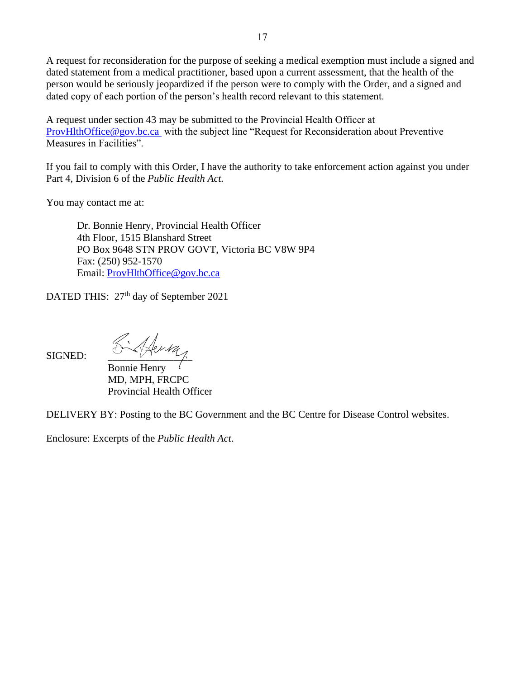A request for reconsideration for the purpose of seeking a medical exemption must include a signed and dated statement from a medical practitioner, based upon a current assessment, that the health of the person would be seriously jeopardized if the person were to comply with the Order, and a signed and dated copy of each portion of the person's health record relevant to this statement.

A request under section 43 may be submitted to the Provincial Health Officer at [ProvHlthOffice@gov.bc.ca](mailto:ProvHlthOffice@gov.bc.ca) with the subject line "Request for Reconsideration about Preventive Measures in Facilities".

If you fail to comply with this Order, I have the authority to take enforcement action against you under Part 4, Division 6 of the *Public Health Act.*

You may contact me at:

Dr. Bonnie Henry, Provincial Health Officer 4th Floor, 1515 Blanshard Street PO Box 9648 STN PROV GOVT, Victoria BC V8W 9P4 Fax: (250) 952-1570 Email: [ProvHlthOffice@gov.bc.ca](mailto:ProvHlthOffice@gov.bc.ca)

DATED THIS: 27<sup>th</sup> day of September 2021

 $S$ igned:  $K$ thing

Bonnie Henry MD, MPH, FRCPC Provincial Health Officer

DELIVERY BY: Posting to the BC Government and the BC Centre for Disease Control websites.

Enclosure: Excerpts of the *Public Health Act*.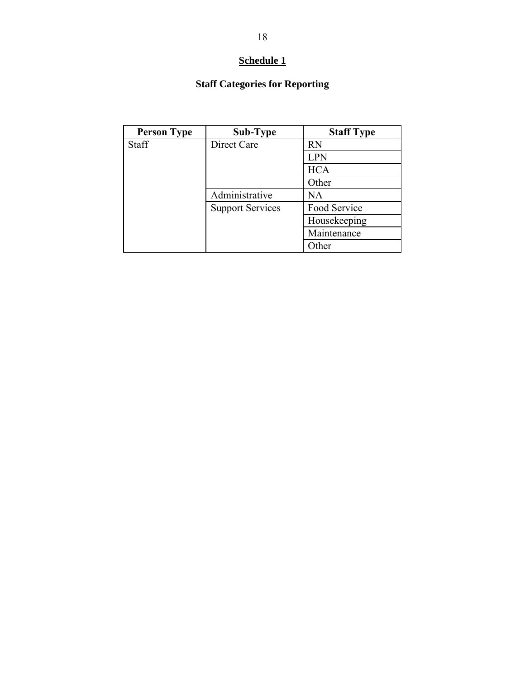## **Schedule 1**

## **Staff Categories for Reporting**

| <b>Person Type</b> | Sub-Type                | <b>Staff Type</b> |
|--------------------|-------------------------|-------------------|
| Staff              | Direct Care             | <b>RN</b>         |
|                    |                         | <b>LPN</b>        |
|                    |                         | <b>HCA</b>        |
|                    |                         | Other             |
|                    | Administrative          | <b>NA</b>         |
|                    | <b>Support Services</b> | Food Service      |
|                    |                         | Housekeeping      |
|                    |                         | Maintenance       |
|                    |                         | Other             |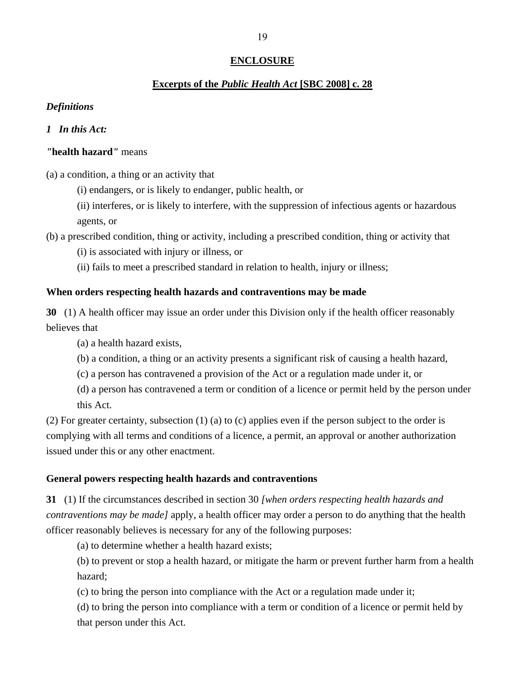#### **ENCLOSURE**

#### **Excerpts of the** *Public Health Act* **[SBC 2008] c. 28**

#### *Definitions*

#### *1 In this Act:*

#### *"***health hazard***"* means

(a) a condition, a thing or an activity that

(i) endangers, or is likely to endanger, public health, or

(ii) interferes, or is likely to interfere, with the suppression of infectious agents or hazardous agents, or

(b) a prescribed condition, thing or activity, including a prescribed condition, thing or activity that

(i) is associated with injury or illness, or

(ii) fails to meet a prescribed standard in relation to health, injury or illness;

#### **When orders respecting health hazards and contraventions may be made**

**30** (1) A health officer may issue an order under this Division only if the health officer reasonably believes that

(a) a health hazard exists,

(b) a condition, a thing or an activity presents a significant risk of causing a health hazard,

(c) a person has contravened a provision of the Act or a regulation made under it, or

(d) a person has contravened a term or condition of a licence or permit held by the person under this Act.

(2) For greater certainty, subsection (1) (a) to (c) applies even if the person subject to the order is complying with all terms and conditions of a licence, a permit, an approval or another authorization issued under this or any other enactment.

#### **General powers respecting health hazards and contraventions**

**31** (1) If the circumstances described in section 30 *[when orders respecting health hazards and contraventions may be made]* apply, a health officer may order a person to do anything that the health officer reasonably believes is necessary for any of the following purposes:

(a) to determine whether a health hazard exists;

(b) to prevent or stop a health hazard, or mitigate the harm or prevent further harm from a health hazard;

(c) to bring the person into compliance with the Act or a regulation made under it;

(d) to bring the person into compliance with a term or condition of a licence or permit held by that person under this Act.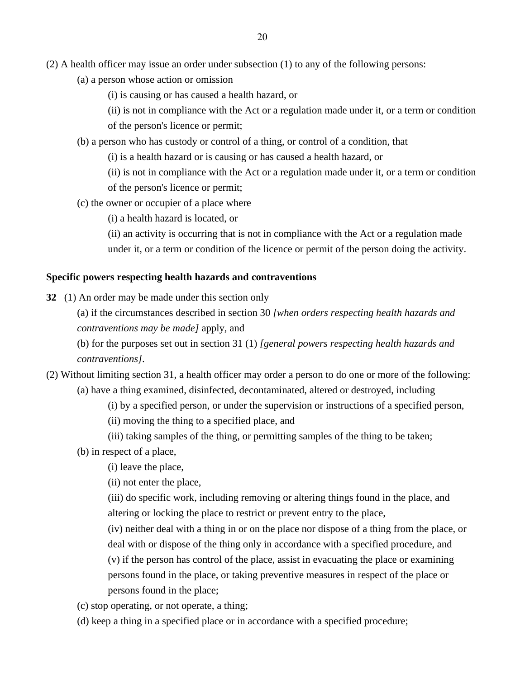- (a) a person whose action or omission
	- (i) is causing or has caused a health hazard, or
	- (ii) is not in compliance with the Act or a regulation made under it, or a term or condition

of the person's licence or permit;

- (b) a person who has custody or control of a thing, or control of a condition, that
	- (i) is a health hazard or is causing or has caused a health hazard, or
	- (ii) is not in compliance with the Act or a regulation made under it, or a term or condition of the person's licence or permit;
- (c) the owner or occupier of a place where
	- (i) a health hazard is located, or

(ii) an activity is occurring that is not in compliance with the Act or a regulation made under it, or a term or condition of the licence or permit of the person doing the activity.

#### **Specific powers respecting health hazards and contraventions**

- **32** (1) An order may be made under this section only
	- (a) if the circumstances described in section 30 *[when orders respecting health hazards and contraventions may be made]* apply, and

(b) for the purposes set out in section 31 (1) *[general powers respecting health hazards and contraventions]*.

- (2) Without limiting section 31, a health officer may order a person to do one or more of the following: (a) have a thing examined, disinfected, decontaminated, altered or destroyed, including
	- (i) by a specified person, or under the supervision or instructions of a specified person,
	- (ii) moving the thing to a specified place, and
	- (iii) taking samples of the thing, or permitting samples of the thing to be taken;
	- (b) in respect of a place,
		- (i) leave the place,
		- (ii) not enter the place,
		- (iii) do specific work, including removing or altering things found in the place, and altering or locking the place to restrict or prevent entry to the place,
		- (iv) neither deal with a thing in or on the place nor dispose of a thing from the place, or deal with or dispose of the thing only in accordance with a specified procedure, and
		- (v) if the person has control of the place, assist in evacuating the place or examining persons found in the place, or taking preventive measures in respect of the place or persons found in the place;
	- (c) stop operating, or not operate, a thing;
	- (d) keep a thing in a specified place or in accordance with a specified procedure;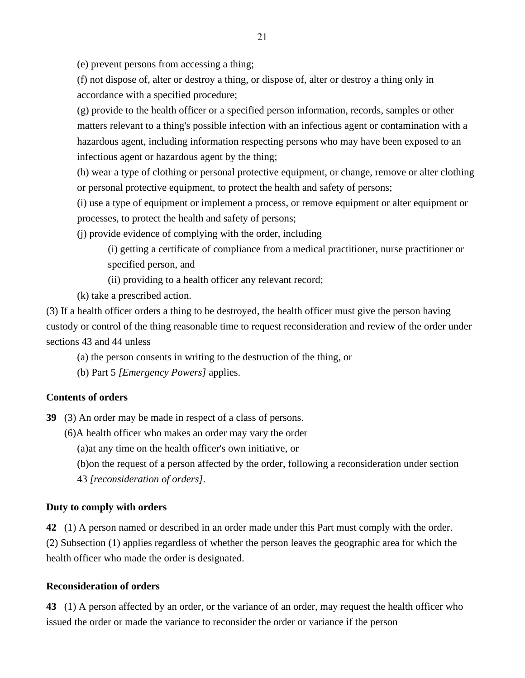(e) prevent persons from accessing a thing;

(f) not dispose of, alter or destroy a thing, or dispose of, alter or destroy a thing only in accordance with a specified procedure;

(g) provide to the health officer or a specified person information, records, samples or other matters relevant to a thing's possible infection with an infectious agent or contamination with a hazardous agent, including information respecting persons who may have been exposed to an infectious agent or hazardous agent by the thing;

(h) wear a type of clothing or personal protective equipment, or change, remove or alter clothing or personal protective equipment, to protect the health and safety of persons;

(i) use a type of equipment or implement a process, or remove equipment or alter equipment or processes, to protect the health and safety of persons;

(j) provide evidence of complying with the order, including

(i) getting a certificate of compliance from a medical practitioner, nurse practitioner or specified person, and

(ii) providing to a health officer any relevant record;

(k) take a prescribed action.

(3) If a health officer orders a thing to be destroyed, the health officer must give the person having custody or control of the thing reasonable time to request reconsideration and review of the order under sections 43 and 44 unless

(a) the person consents in writing to the destruction of the thing, or

(b) Part 5 *[Emergency Powers]* applies.

#### **Contents of orders**

**39** (3) An order may be made in respect of a class of persons.

(6)A health officer who makes an order may vary the order

(a)at any time on the health officer's own initiative, or

(b)on the request of a person affected by the order, following a reconsideration under section

43 *[reconsideration of orders]*.

#### **Duty to comply with orders**

**42** (1) A person named or described in an order made under this Part must comply with the order. (2) Subsection (1) applies regardless of whether the person leaves the geographic area for which the health officer who made the order is designated.

#### **Reconsideration of orders**

**43** (1) A person affected by an order, or the variance of an order, may request the health officer who issued the order or made the variance to reconsider the order or variance if the person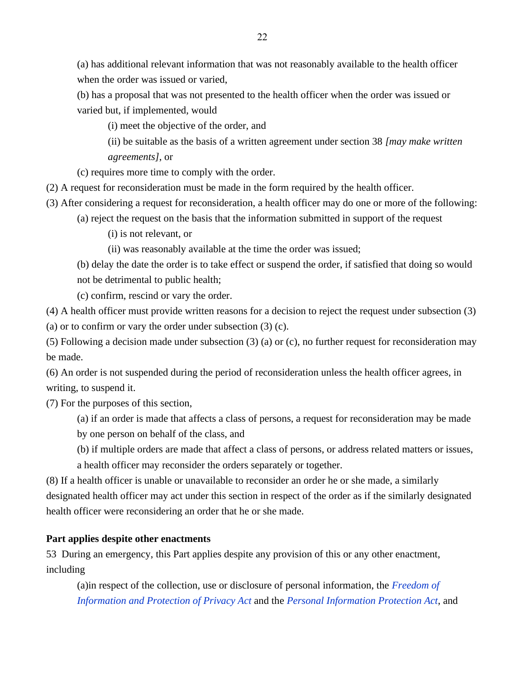(a) has additional relevant information that was not reasonably available to the health officer when the order was issued or varied,

(b) has a proposal that was not presented to the health officer when the order was issued or varied but, if implemented, would

(i) meet the objective of the order, and

(ii) be suitable as the basis of a written agreement under section 38 *[may make written agreements]*, or

(c) requires more time to comply with the order.

(2) A request for reconsideration must be made in the form required by the health officer.

(3) After considering a request for reconsideration, a health officer may do one or more of the following:

(a) reject the request on the basis that the information submitted in support of the request

(i) is not relevant, or

(ii) was reasonably available at the time the order was issued;

(b) delay the date the order is to take effect or suspend the order, if satisfied that doing so would not be detrimental to public health;

(c) confirm, rescind or vary the order.

(4) A health officer must provide written reasons for a decision to reject the request under subsection (3)

(a) or to confirm or vary the order under subsection (3) (c).

(5) Following a decision made under subsection (3) (a) or (c), no further request for reconsideration may be made.

(6) An order is not suspended during the period of reconsideration unless the health officer agrees, in writing, to suspend it.

(7) For the purposes of this section,

(a) if an order is made that affects a class of persons, a request for reconsideration may be made by one person on behalf of the class, and

(b) if multiple orders are made that affect a class of persons, or address related matters or issues,

a health officer may reconsider the orders separately or together.

(8) If a health officer is unable or unavailable to reconsider an order he or she made, a similarly designated health officer may act under this section in respect of the order as if the similarly designated health officer were reconsidering an order that he or she made.

## **Part applies despite other enactments**

53 During an emergency, this Part applies despite any provision of this or any other enactment, including

(a)in respect of the collection, use or disclosure of personal information, the *[Freedom of](https://www.bclaws.gov.bc.ca/civix/document/id/complete/statreg/96165_00)  [Information and Protection of Privacy Act](https://www.bclaws.gov.bc.ca/civix/document/id/complete/statreg/96165_00)* and the *[Personal Information Protection Act](https://www.bclaws.gov.bc.ca/civix/document/id/complete/statreg/03063_01)*, and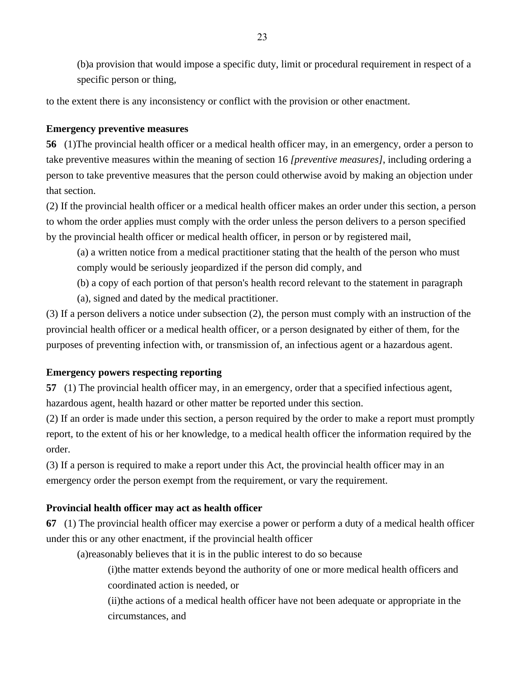(b)a provision that would impose a specific duty, limit or procedural requirement in respect of a specific person or thing,

to the extent there is any inconsistency or conflict with the provision or other enactment.

## **Emergency preventive measures**

**56** (1)The provincial health officer or a medical health officer may, in an emergency, order a person to take preventive measures within the meaning of section 16 *[preventive measures]*, including ordering a person to take preventive measures that the person could otherwise avoid by making an objection under that section.

(2) If the provincial health officer or a medical health officer makes an order under this section, a person to whom the order applies must comply with the order unless the person delivers to a person specified by the provincial health officer or medical health officer, in person or by registered mail,

(a) a written notice from a medical practitioner stating that the health of the person who must comply would be seriously jeopardized if the person did comply, and

(b) a copy of each portion of that person's health record relevant to the statement in paragraph

(a), signed and dated by the medical practitioner.

(3) If a person delivers a notice under subsection (2), the person must comply with an instruction of the provincial health officer or a medical health officer, or a person designated by either of them, for the purposes of preventing infection with, or transmission of, an infectious agent or a hazardous agent.

## **Emergency powers respecting reporting**

**57** (1) The provincial health officer may, in an emergency, order that a specified infectious agent, hazardous agent, health hazard or other matter be reported under this section.

(2) If an order is made under this section, a person required by the order to make a report must promptly report, to the extent of his or her knowledge, to a medical health officer the information required by the order.

(3) If a person is required to make a report under this Act, the provincial health officer may in an emergency order the person exempt from the requirement, or vary the requirement.

## **Provincial health officer may act as health officer**

**67** (1) The provincial health officer may exercise a power or perform a duty of a medical health officer under this or any other enactment, if the provincial health officer

(a)reasonably believes that it is in the public interest to do so because

(i)the matter extends beyond the authority of one or more medical health officers and coordinated action is needed, or

(ii)the actions of a medical health officer have not been adequate or appropriate in the circumstances, and